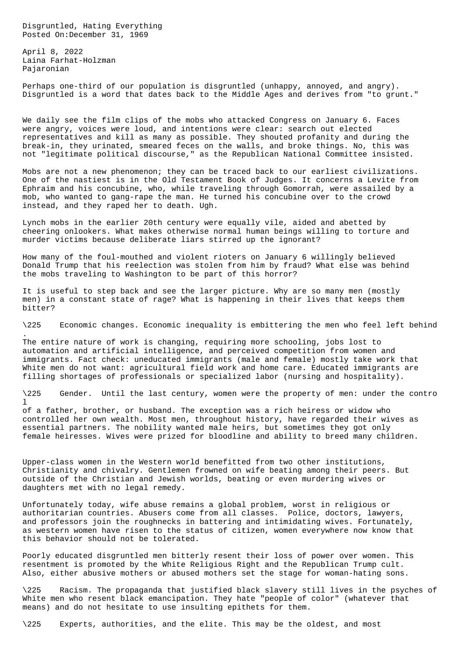Disgruntled, Hating Everything Posted On:December 31, 1969

April 8, 2022 Laina Farhat-Holzman Pajaronian

.

Perhaps one-third of our population is disgruntled (unhappy, annoyed, and angry). Disgruntled is a word that dates back to the Middle Ages and derives from "to grunt."

We daily see the film clips of the mobs who attacked Congress on January 6. Faces were angry, voices were loud, and intentions were clear: search out elected representatives and kill as many as possible. They shouted profanity and during the break-in, they urinated, smeared feces on the walls, and broke things. No, this was not "legitimate political discourse," as the Republican National Committee insisted.

Mobs are not a new phenomenon; they can be traced back to our earliest civilizations. One of the nastiest is in the Old Testament Book of Judges. It concerns a Levite from Ephraim and his concubine, who, while traveling through Gomorrah, were assailed by a mob, who wanted to gang-rape the man. He turned his concubine over to the crowd instead, and they raped her to death. Ugh.

Lynch mobs in the earlier 20th century were equally vile, aided and abetted by cheering onlookers. What makes otherwise normal human beings willing to torture and murder victims because deliberate liars stirred up the ignorant?

How many of the foul-mouthed and violent rioters on January 6 willingly believed Donald Trump that his reelection was stolen from him by fraud? What else was behind the mobs traveling to Washington to be part of this horror?

It is useful to step back and see the larger picture. Why are so many men (mostly men) in a constant state of rage? What is happening in their lives that keeps them bitter?

\225 Economic changes. Economic inequality is embittering the men who feel left behind

The entire nature of work is changing, requiring more schooling, jobs lost to automation and artificial intelligence, and perceived competition from women and immigrants. Fact check: uneducated immigrants (male and female) mostly take work that White men do not want: agricultural field work and home care. Educated immigrants are filling shortages of professionals or specialized labor (nursing and hospitality).

\225 Gender. Until the last century, women were the property of men: under the contro  $\mathbf{1}$ 

of a father, brother, or husband. The exception was a rich heiress or widow who controlled her own wealth. Most men, throughout history, have regarded their wives as essential partners. The nobility wanted male heirs, but sometimes they got only female heiresses. Wives were prized for bloodline and ability to breed many children.

Upper-class women in the Western world benefitted from two other institutions, Christianity and chivalry. Gentlemen frowned on wife beating among their peers. But outside of the Christian and Jewish worlds, beating or even murdering wives or daughters met with no legal remedy.

Unfortunately today, wife abuse remains a global problem, worst in religious or authoritarian countries. Abusers come from all classes. Police, doctors, lawyers, and professors join the roughnecks in battering and intimidating wives. Fortunately, as western women have risen to the status of citizen, women everywhere now know that this behavior should not be tolerated.

Poorly educated disgruntled men bitterly resent their loss of power over women. This resentment is promoted by the White Religious Right and the Republican Trump cult. Also, either abusive mothers or abused mothers set the stage for woman-hating sons.

\225 Racism. The propaganda that justified black slavery still lives in the psyches of White men who resent black emancipation. They hate "people of color" (whatever that means) and do not hesitate to use insulting epithets for them.

\225 Experts, authorities, and the elite. This may be the oldest, and most